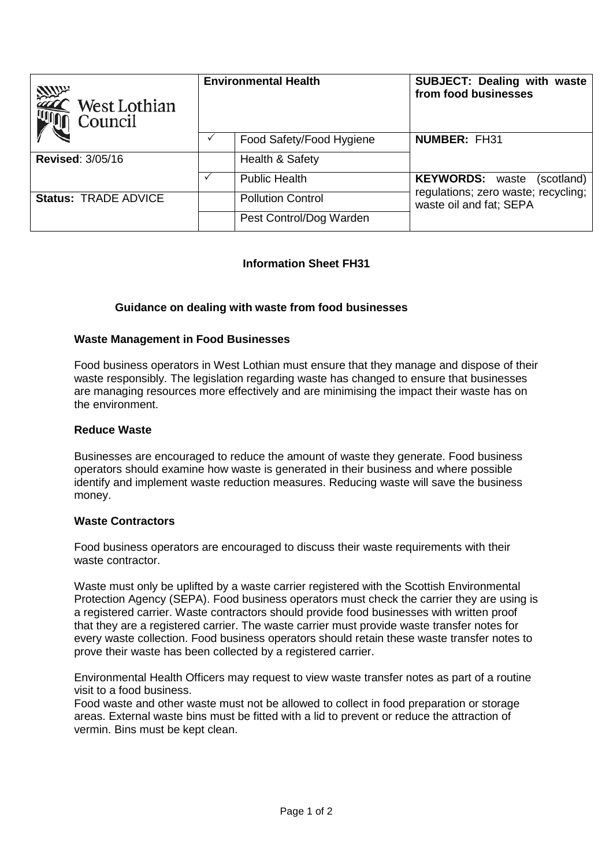| <b>SULLER</b><br>West Lothian<br>Council | <b>Environmental Health</b> |                          | <b>SUBJECT: Dealing with waste</b><br>from food businesses     |
|------------------------------------------|-----------------------------|--------------------------|----------------------------------------------------------------|
|                                          |                             | Food Safety/Food Hygiene | <b>NUMBER: FH31</b>                                            |
| <b>Revised: 3/05/16</b>                  |                             | Health & Safety          |                                                                |
|                                          |                             | <b>Public Health</b>     | <b>KEYWORDS:</b> waste<br>(scotland)                           |
| <b>Status: TRADE ADVICE</b>              |                             | <b>Pollution Control</b> | regulations; zero waste; recycling;<br>waste oil and fat; SEPA |
|                                          |                             | Pest Control/Dog Warden  |                                                                |

# **Information Sheet FH31**

# **Guidance on dealing with waste from food businesses**

## **Waste Management in Food Businesses**

Food business operators in West Lothian must ensure that they manage and dispose of their waste responsibly. The legislation regarding waste has changed to ensure that businesses are managing resources more effectively and are minimising the impact their waste has on the environment.

#### **Reduce Waste**

Businesses are encouraged to reduce the amount of waste they generate. Food business operators should examine how waste is generated in their business and where possible identify and implement waste reduction measures. Reducing waste will save the business money.

#### **Waste Contractors**

Food business operators are encouraged to discuss their waste requirements with their waste contractor.

Waste must only be uplifted by a waste carrier registered with the Scottish Environmental Protection Agency (SEPA). Food business operators must check the carrier they are using is a registered carrier. Waste contractors should provide food businesses with written proof that they are a registered carrier. The waste carrier must provide waste transfer notes for every waste collection. Food business operators should retain these waste transfer notes to prove their waste has been collected by a registered carrier.

Environmental Health Officers may request to view waste transfer notes as part of a routine visit to a food business.

Food waste and other waste must not be allowed to collect in food preparation or storage areas. External waste bins must be fitted with a lid to prevent or reduce the attraction of vermin. Bins must be kept clean.